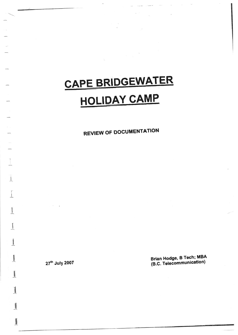# GAPE BRIDGEWATER HOLIDAY CAMP

REVIEW OF DOGUMENTATION

27th July 2007

1

I

l'-

I

**Incorrect** 

I

I

t

I

 $\frac{1}{2}$ 

 $\blacksquare$ 

Brian Hodge, B Tech; MBA (B.C. Telecommunication)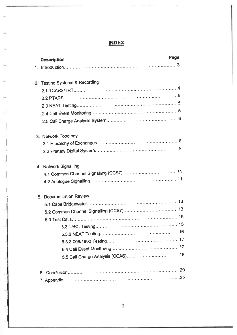# INDEX

| <b>Description</b>             | Page |
|--------------------------------|------|
|                                |      |
|                                |      |
| 2. Testing Systems & Recording |      |
|                                |      |
|                                |      |
|                                |      |
|                                |      |
|                                |      |
| 3. Network Topology            |      |
|                                |      |
|                                |      |
| 4. Network Signalling          |      |
|                                |      |
|                                |      |
| 5. Documentation Review        |      |
|                                |      |
|                                |      |
|                                |      |
|                                |      |
|                                |      |
|                                |      |
|                                |      |
|                                |      |
|                                |      |
|                                |      |

.l

 $\overline{\phantom{a}}$ 

;

 $\overline{a}$ i

I

 $\overline{\phantom{a}}$ 

I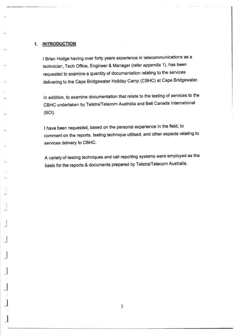# 1. INTRODUCTION

<sup>I</sup>Brian Hodge having over forty years experience in telecommunications as <sup>a</sup> technician, Tech Office, Engineer & Manager (refer appendix 1), has been requested to examine a quantity of documentation relating to the services delivering to the Cape Bridgewater Holiday Camp (CBHC) at Cape Bridgewater.

ln addition, to examine documentation that relate to the testing of services to the CBHC undertaken by Telstra/Telecom Australia and Bell Canada lnternational  $(BCI).$ 

<sup>I</sup>have been requested, based on the personal experience in the field, to comment on the reports, testing technique utilised, and other aspects relating to services delivery to CBHC.

A variety of testing techniques and call reporting systems were employed as the basis for the reports & documents prepared by Telstra/Telecom Australia.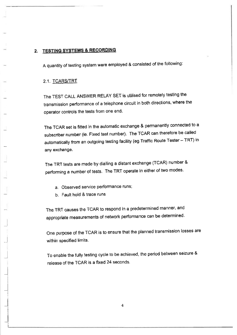# 2. TESTING SYSTEMS & RECORDING

A quantity of testing system were employed & consisted of the following:

## 2.1. TCARS/TRT

The TEST CALL ANSWER RELAY SET is utilised for remotely testing the transmission performance of a telephone circuit in both directions, where the operator controls the tests from one end.

The TCAR set is fitted in the automatic exchange & permanently connected to <sup>a</sup> subscriber number (ie. Fixed test number). The TCAR can therefore be called automatically from an outgoing testing facility (eg Traffic Route Tester - TRT) in any exchange.

The TRT tests are made by dialling a distant exchange (TCAR) number & performing a number of tests. The TRT operate in either of two modes.

- a. Observed service performance runs;
- b. Fault hold & trace runs

 $\overline{-}$ 

 $\rightarrow$ 

 $\rightarrow$ I

 $\overline{\phantom{a}}$ I

 $\overline{\phantom{a}}$ 

The TRT causes the TCAR to respond in a predetermined manner, and appropriate measurements of network performance can be determined.

One purpose of the TCAR is to ensure that the planned transmission losses are within specified limits.

To enable the fully testing cycle to be achieved, the period between seizure & release of the TCAR is a fxed 24 seconds.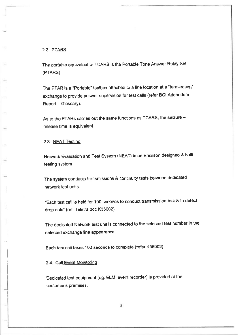# 2.2. PTARS

The portable equivalent to TCARS is the Portable Tone Answer Relay Set (PTARS).

The PTAR is a "Portable' testbox attached to a line location at a'terminating" exchange to provide answer supervision for test calls (refer BCI Addendum Report - Glossary).

As to the PTARs carries out the same functions as TCARS, the seizure release time is equivalent.

# 2.3. NEAT Testing

Netwoft Evaluation and Test System (NEAT) is an Ericsson designed & built testing system.

The system conducts transmissions & continuity tests between dedicated network test units.

"Each test call is held for 100 seconds to conduct transmission test & to detect drop outs" (ref. Telstra doc K35002).

The dedicated Network test unit is connected to the selected test number in the selected exchange line appearance.

Each test call takes 100 seconds to complete (refer K35002).

# 2.4, Call Event Monitoring

l  $\rightarrow$ 

 $-1$ 

Dedicated test equipment (eg. ELMI event recorder) is provided at the customer's premises.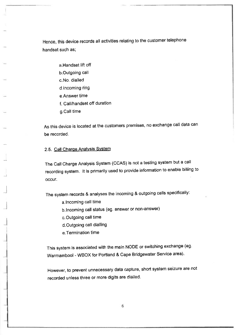Hence, this device records all activities relating to the customer telephone handset such as;

- a.Handsei lift off b.Outgoing call c. No. dialled d.lncoming ring e,Answer time f. Call/handset off duration
- g.Call time

As this device is located at the customers premises, no exchange call data can be recorded.

## 2.5. Call Charge Analysis System

 $\rightarrow$ 

-l

l

 $\overline{\phantom{a}}$ 

The Call Charge Analysis System (CCAS) is not a testing system but a call recording system. lt is primarily used to provide information to enable billing to occur.

The system records & analyses the incoming & outgoing calls specifically:

- a.lncoming call time
- b. Incoming call status (eg. answer or non-answer)
- c. Outgoing call time
- d.Outgoing call dialling
- e.Termination time

This system is associated with the main NoDE or switching exchange (eg. Warmambool - WBOX for Portland & Cape Bridgewater Service area).

However, to prevent unnecessary data capture, short system seizure are not recorded unless three or more digits are dialled.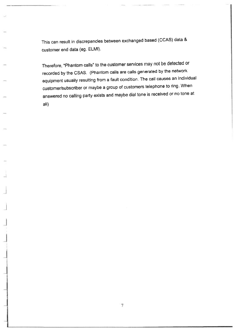This can result in discrepancies between exchanged based (CCAS) data & customer end data (eg. ELMI).

Therefore, "Phantom calls" to the customer services may not be detected or recorded by the CSAS. (Phantom calls are calls generated by the network equipment usually resulting from a fault condition. The call causes an individual customer/subscriber or maybe a group of customers telephone to ring. When answered no calling party exists and maybe dial tone is received or no tone at all)

l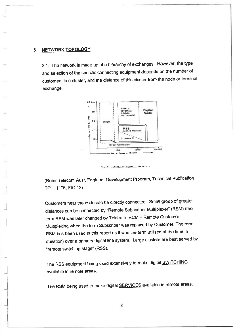#### 3. NETWORK TOPOLOGY

 $\Box$ 

l

3.1. The network is made up of a hierarchy of exchanges. However, the type and selection of the specific connecting equipment depends on the number of customers in a cluster, and the distance of this cluster from the node or terminal exchange



ONE OF SHORE OF COOME FIRE OF MINT

(Refer Telecom Aust, Engineer Development Program, Technical Publication TPH 1176, FlG.13)

customers near the node can be directly connected. smatl group of greater distances can be connected by "Remote subscriber Muhiplexer'' (RSM) (the term RSM was later changed by Telstra to RCM - Remote Customer Multiplexing when the term Subscriber was replaced by Customer. The term RSM has been used in this report as it was the term utilised at the time in question) over a primary digital line system, Large clusters are best served by 'remote switching stage' (RSS).

The RSS equipment being used extensively to make digital SWITCHING available in remote areas.

The RSM being used to make digital SERVICES available in remote areas.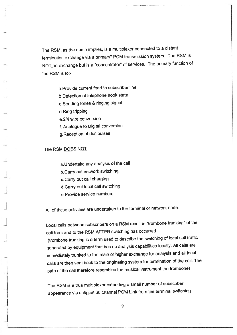The RSM, as the name implies, is a multiplexer connected to a distant termination exchange via a primary\* PCM transmission system. The RSM is NOT an exchange but is a "concentrator" of services. The primary function of the RSM is to:-

a.Provide cunent feed to subscriber line

b,Detection of telephone hook state

c.Sending tones & ringing signal

d.Ring tripping

e.2/4 wire conversion

f. Analogue to Digital conversion

g. Reception of dial pulses

# The RSM DOES NOT

j

 $\Box$ 

 $\Box$ 

\_l

a.Undertake any analysis of the call

b.Carry out network switching

c.Carry out call charging

d.Carry out local call switching

e. Provide service numbers

All of these activities are undertaken in the terminal or network node.

Local calls between subscribers on a RSM result in "trombone trunking' of the call from and to the RSM AFTER switching has occurred.

(trombone trunking is a term used to describe the switching of local call traffic generated by equipment that has no analysis capabilities locally. All calls are immediately trunked to the main or higher exchange for analysis and all local calls are then sent back to the originating system for termination of the call. The path of the call therefore resembles the musical instrument the trombone)

The RSM is a true multiplexer extending a small number of subscriber appearance via a digital 30 channel PCM Link from the terminal switching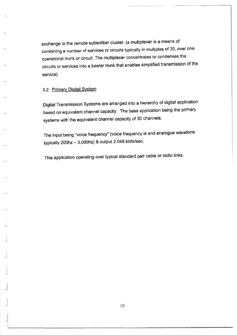exchange to the remote subscriber cluster. (a multiplexer is a means of combining a number of services or circuits typically in multiples of 30, over one operational trunk or Gircuit. The muttiplexer concentrates or condenses the circuits or services into a bearer trunk that enables simplified transmission of the service)

## 3.2. Primary Digital System

 $\overline{\phantom{a}}$ 

 $\overline{\phantom{a}}$ 

Digital Transmission Systems are arranged into a hierarchy of digital application based on equivalent channel capacity. The base application being the primary systems with the equivalent channel capacity of 30 channels.

The input being "voice frequency" (voice frequency is and analogue waveform typically  $200$ hz  $- 3,000$ hz) & output  $2.048$  kbits/sec.

This application operating over typical standard pair cable or radio links.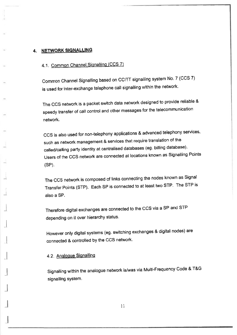# 4. NETWORK SIGNALLING

# 4.1. Common Channel Signalling (CCS 7)

Common Channel Signalling based on CCITT signalling system No. 7 (CCS 7) is used for inter-exchange telephone call signalling within the network.

The ccs network is a packet switch data network designed to provide reliable & speedy transfer of call control and other messages for the telecommunication network.

CCS is also used for non-telephony applications & advanced telephony services, such as network management & services that require translation of the called/calling party identity at centralised databases (eg. billing database). Users of the CCS network are connected at locations known as Signalling Points (SP).

The CCS network is composed of links connecting the nodes known as Signal Transfer Points (STP). Each SP is connected to at least two STP. The STP is also a SP.

Therefore digital exchanges are connected to the CCS via a SP and STP depending on it over hierarchy status.

However only digital systems (eg. switching exchanges & digital nodes) are connected & controlled by the CCS network.

# 4.2. Analogue Signalling

 $\overline{\phantom{a}}$ 

 $\overline{\mathcal{A}}$ 

 $\overline{\mathcal{A}}$ 

I

 $\mathfrak{p}$ 

 $\exists$ 

 $\overline{\phantom{a}}$ 

l

J

Signalling within the analogue network is/was via Multi-Frequency Code & T&G signalling system.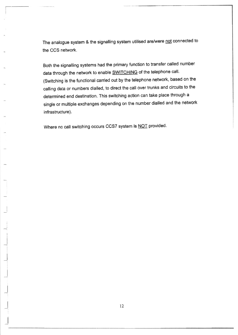The analogue system & the signalling system utilised are/were not connected to the CCS network.

Both the signalling systems had the primary function to transfer called number data through the network to enable **SWITCHING** of the telephone call. (Switching is the functional carried out by the telephone network, based on the calling data or numbers dialled, to direct the call over trunks and circuits to the determined end destination. This switching action can take place through <sup>a</sup> single or multiple exchanges depending on the number dialled and the network infrastructure).

Where no call switching occurs CCS7 system is NOT provided.

-: I .l

 $\overline{\phantom{a}}$ 

\_l

 $\overline{\phantom{a}}$ 

\_l

I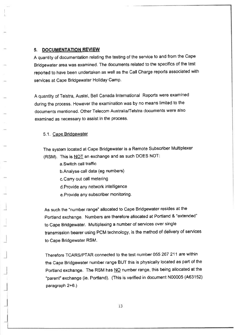## 5. DOCUMENTATION REVIEW

I 1

> A quantity of documentation relating the testing of the service to and from the Cape Bridgewater area was examined. The documents related to the specifics of the test reported to have been undertaken as well as the call charge reports associated with services at Cape Bridgewater Holiday Camp.

A quantity of Telstra, Austel, Bell Canada lnternational Reports were examined during the process. However the examination was by no means limited to the documents mentioned. Other Telecom Australia/Telstra documents were also examined as necessary to assist in the process.

#### 5.1. Cape Bridgewater

The system located at Cape Bridgewater is a Remote Subscriber Multiplexer (RSM). This is NOT an exchange and as such DOES NOT:

a.Switch call traffic

b.Analyse call data (eg numbers)

c.Carry out call metering

d. Provide any network intelligence

e. Provide any subscriber monitoring.

As such the "number range" allocated to Cape Bridgewater resides at the Portland exchange. Numbers are therefore allocated at Portland & 'extended' to Cape Bridgewater. Multiplexing a number of services over single transmission bearer using PCM technology, is the method of delivery of services to Cape Bridgewater RSM.

Therefore TCARS/PTAR connected to the test number 055 267 211 are within the Cape Bridgewater number range BUT this is physically located as part of the Portland exchange. The RSM has NO number range, this being allocated at the "parent" exchange (ie. Portland). (Thls is verified in document N00005 (A63152) paragraph  $2+6.$ )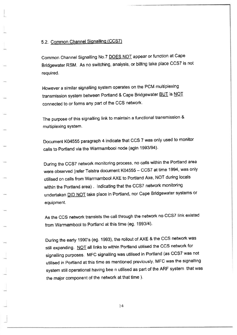# 5.2. Common Channel Signalling (CCS7)

L

\_1

Common Channel Signalling No.7 DOES NOT appear or function at Cape Bridgewater RSM. As no switching, analysis, or billing take place CCST is not required.

However a similar signalling system operates on the PCM multiplexing transmission system between Portland & Cape Bridgewater **BUT** is NOT connected to or forms any part of the CCS network'

The purpose of this signalling link to maintain a functional transmission & multiplexing system.

Document K04555 paragraph 4 indicate that CCS 7 was only used to monitor calls to Portland via the Warrnambool node (agin 1993/94).

During the CCS7 network monitoring process, no calls within the Portland area were observed (refer Telstra document K04555 - CCS7 at time 1994, was only utilised on calls from Warrnambool AxE to Portland Axe, NOT during locals within the Portland area) . lndicating that the CCST network monitoring undertaken **DID NOT** take place in Portland, nor Cape Bridgewater systems or equipment.

As the CCS network transists the call through the network no CCS7 link existed from Warmambool to Portland at this time (eg. 1993/4).

During the early 1990's (eg. 1993), the rollout of AXE & the CCS netwok was still expanding. NOT all links to within Portland utilised the CCS network for signalling purposes. MFC signalling was utilised in Portland (as CCST was not utilised in Portland at this time as mentioned previously, MFC was the signalling system still operational having bee n utilised as part of the ARF system that was the major component of the network at that time ).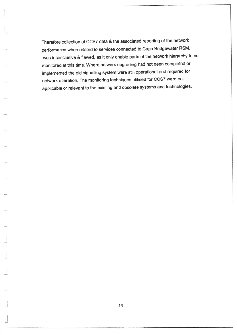Therefore collection of CCST data & the associated reporting of the network performance when related to services connected to Cape Bridgewater RSM' was inconclusive & flawed, as it only enable parts of the network hierarchy to be monitored at this time. Where network upgrading had not been completed or implemented the old signalling system were still operational and required for network operation. The monitoring techniques utilised for CCST were not applicable or relevant to the existing and obsolete systems and technologies.

I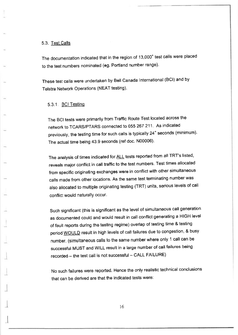#### 5.3. Test Calls

The documentation indicated that in the region of 13,000<sup>+</sup> test calls were placed to the test numbers nominated (eg. Portland number range).

These test calls were undertaken by Bell canada lnternational (BCl) and by Telstra Network Operations (NEAT testing).

#### 5.3.1. BCI Testing

 $\overline{\mathbf{a}}$ 

The BCI tests were primarily from Traftic Route Test located across the network to TCARS/PTARS connected to 055 267 211 As indicated previously, the testing time for such calls is typically 24<sup>+</sup> seconds (minimum). The actual time being 43.9 seconds (ref doc. N00006).

The analysis of times indicated for **ALL** tests reported from all TRT's listed, reveals major conflict in call traffic to the test numbers. Test times allocated from specific originating exchanges were in conflict with other simultaneous calls made from other locations. As the same test terminating number was also allocated to multiple originating testing (TRT) units, serious levels of call conflict would naturally occur.

such significant (this is significant as the level of simultaneous call generation as documented could and would result in call conflict generating a HIGH level of fault reports during the testing regime) overlap of testing time & testing period WOULD result in high levels of call failures due to congestion, & busy number. (simultaneous calls to the same number where only 1 call can be successful MUST and WILL result in a large number of call failures being recorded - the test call is not successful - CALL FAILURE)

No such failures were reported. Hence the only realistic technical conclusions that can be derived are that the indicated tests were: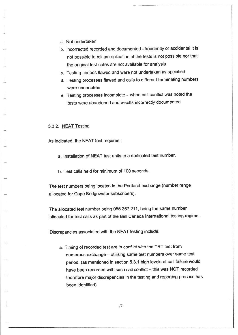a. Not undertaken

l

I

- b. Incorrected recorded and documented -fraudently or accidental it is not possible to tell as replication of the tests is not possible nor that the original test notes are not available for analysis
- c. Testing periods flawed and were not undertaken as specified
- d. Testing processes flawed and calls to different terminating numbers were undertaken
- e. Testing processes incomplete when call conflict was noted the tests were abandoned and results incorrectly documented

#### 5.3.2. NEAT Testino

As indicated, the NEAT test requires:

- a. lnstallation of NEAT test units to a dedicated test number.
- b. Test calls held for minimum of 100 seconds.

The test numbers being located in the Portland exchange (number range allocated for Cape Bridgewater subscribers).

The allocated test number being 055 267 211, being the same number allocated for test calls as part of the Bell Canada lnternational testing regime.

Discrepancies associated with the NEAT testing include:

a, Timing of recorded test are in conflict with the TRT test from numerous exchange - utilising same test numbers over same test period. (as mentioned in section 5.3.1 high levels of call failure would have been recorded with such call conflict - this was NOT recorded therefore major discrepancies in the testing and reporting process has been identified)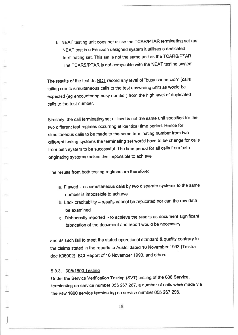b. NEAT testing unit does not utilise the TCARyPTAR terminating set (as NEAT test is a Ericsson designed system it utilises a dedicated terminating set. This set is not the same unit as the TCARS/PTAR' The TCARS/PTAR is not compatible with the NEAT testing system

The results of the test do NOT record any level of "busy connection" (calls failing due to simultaneous calls to the test answering unit) as would be expected (eg encountering busy number) from the high level of duplicated calls to the test number.

Similarly, the call terminating set utilised is not the same unit specified for the two different test regimes occurring at identical time period. Hence for simultaneous calls to be made to the same terminating number ftom two different testing systems the terminating set would have to be change for calls from both system to be successful. The time period for all calls from both originating systems makes this impossible to achieve

The results from both testing regimes are therefore:

- a. Flawed as simultaneous calls by two disparate systems to the same number is impossible to achieve
- b. Lack creditability results cannot be replicated nor can the raw data be examined
- c. Dishonestly reported to achieve the results as document significant fabrication of the document and report would be necessary.

and as such fail to meet the stated operational standard & quality contrary to the claims stated in the reports to Austel dated 10 November 1993 (Telstra doc K35002), BCI Report of 10 November 1993, and others.

## 5.3.3. 008/1800 Testino

Under the Service Verification Testing (SVT) testing of the 008 Service, terminating on service number 055 267 267, a number of calls were made via the new 1800 service terminating on service number 055 267 298.